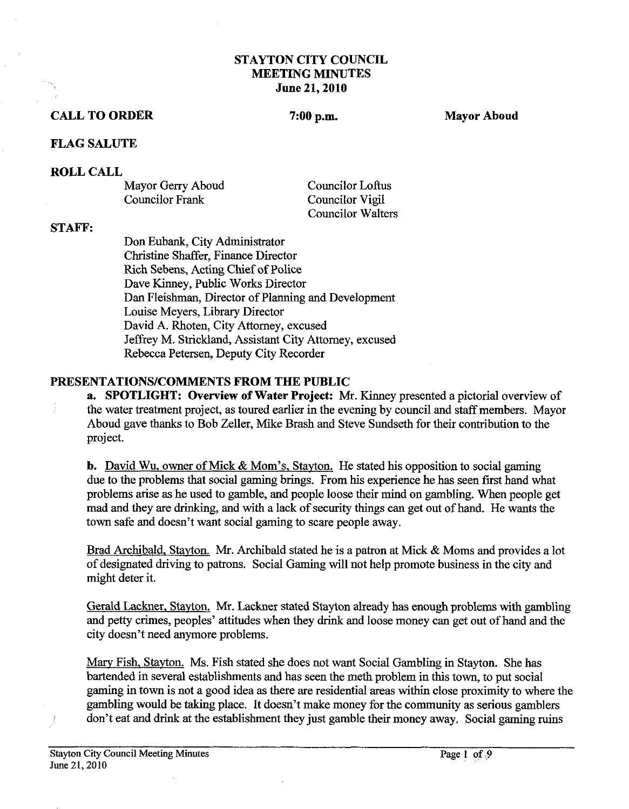### **STAYTON CITY COUNCIL MEETING MINUTES June 21,2010**

# **CALL TO ORDER** 7:00 p.m. Mayor Aboud

## **FLAG SALUTE**

### **ROLL CALL**

Mayor Gerry Aboud Councilor Loftus Councilor Frank Councilor Vigil

Councilor Walters

### **STAFF:**

Don Eubank, City Administrator Christine Shaffer, Finance Director Rich Sebens, Acting Chief of Police Dave Kinney, Public Works Director Dan Fleishman, Director of Planning and Development Louise Meyers, Library Director David A. Rhoten, City Attorney, excused Jeffrey M. Strickland, Assistant City Attorney, excused Rebecca Petersen, Deputy City Recorder

# **PRESENTATIONSICOMMENTS FROM THE PUBLIC**

**a. SPOTLIGHT: Overview of Water Project:** Mr. Kinney presented a pictorial overview of the water treatment project, as toured earlier in the evening by council and staff members. Mayor Aboud gave thanks to Bob Zeller, Mike Brash and Steve Sundseth for their contribution to the project.

**b.** David Wu. owner of Mick & Mom's, Stavton. He stated his opposition to social gaming due to the problems that social gaming brings. From his experience he has seen first hand what problems arise as he used to gamble, and people loose their mind on gambling. When people get mad and they are drinking, and with a lack of security things can get out of hand. He wants the town safe and doesn't want social gaming to scare people away.

Brad Archibald. Stavton. Mr. Archibald stated he is a patron at Mick & Moms and provides a lot of designated driving to patrons. Social Gaming will not help promote business in the city and might deter it.

Gerald Lackner, Stavton. Mr. Lackner stated Stayton already has enough problems with gambling and petty crimes, peoples' attitudes when they drink and loose money can get out of hand and the city doesn't need anymore problems.

Marv Fish, Stayton. Ms. Fish stated she does not want Social Gambling in Stayton. She has bartended in several establishments and has seen the meth problem in this town, to put social gaming in town is not a good idea as there are residential areas **within** close proximity to where the gambling would be taking place. It doesn't make money for the community as serious gamblers don't eat and drink at the establishment they just gamble their money away. Social gaming ruins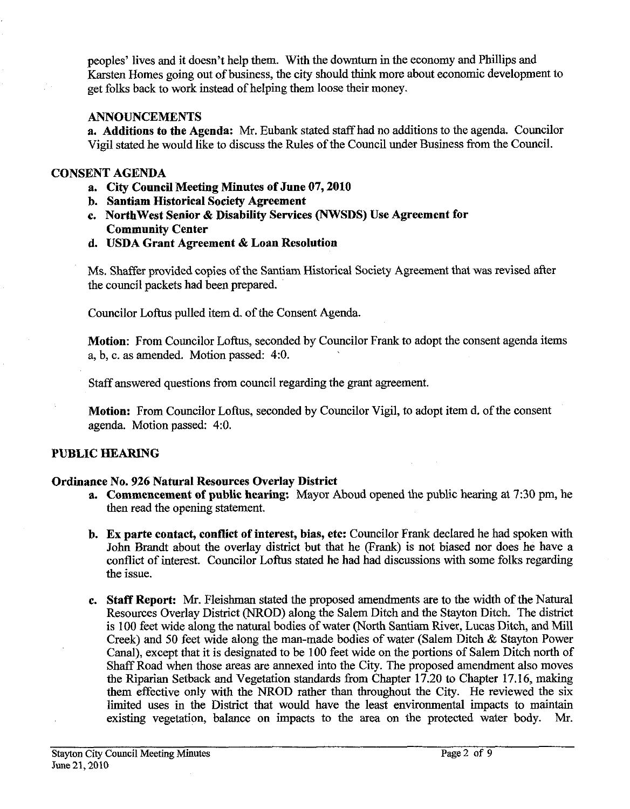peoples' lives and it doesn't help them. With the downturn in the economy and Phillips and Karsten Homes going out of business, the city should think more about economic development to get foks back to work instead of helping them loose their money.

## **ANNOUNCEMENTS**

**a. Additions to the Agenda: Mr.** Eubank stated staff had no additions to the agenda. Councilor Vigil stated he would like to discuss the Rules of the Council under Business from the Council.

### **CONSENT AGENDA**

- **a. City Council Meeting Minutes of June 07,2010**
- **b. Santiam Historical Society Agreement**
- **c. Northwest Senior** & **Disability Services (NWSDS) Use Agreement for Community Center**
- **d. USDA Grant Agreement** & **Loan Resolution**

Ms. Shaffer provided copies of the Santiam Historical Society Agreement that was revised after the council packets had been prepared.

Councilor Loftus pulled item d. of the Consent Agenda.

**Motion:** From Councilor Loftus, seconded by Councilor Frank to adopt the consent agenda items a, b, c. as amended. Motion passed: 4:O.

Staff answered questions from council regarding the grant agreement.

**Motion:** From Councilor Loftus, seconded by Councilor Vigil, to adopt item d. of the consent agenda. Motion passed: 4:O.

# **PUBLIC HEARING**

# **Ordinance No. 926 Natural Resources Overlay District**

- **a. Commencement of public hearing:** Mayor Aboud opened the public hearing at **7:30** pm, he then read the opening statement.
- **b. Ex parte contact, conflict of interest, bias, etc:** Councilor Frank declared he had spoken with John Brandt about the overlay district but that he (Frank) is not biased nor does he have a conflict of interest. Councilor Loftus stated he had had discussions with some folks regarding the issue.
- **c. Staff Report: Mr.** Fleishrnan stated the proposed amendments are to the width of the Natural Resources Overlay District (NROD) along the Salem Ditch and the Stayton Ditch. The district is 100 feet wide along the natural bodies of water (North Santiam River, Lucas Ditch, and Mill Creek) and 50 feet wide along the man-made bodies of water (Salem Ditch & Stayton Power Canal), except that it is designated to be 100 feet wide on the portions of Salem Ditch north of Shaff Road when those areas are annexed into the City. The proposed amendment also moves the Riparian Setback and Vegetation standards from Chapter 17.20 to Chapter 17.16, making them effective only with the NROD rather than throughout the City. He reviewed the six limited uses in the District that would have the least environmental impacts to **maintain**  existing vegetation, balance on impacts to the area on the protected water body. Mr.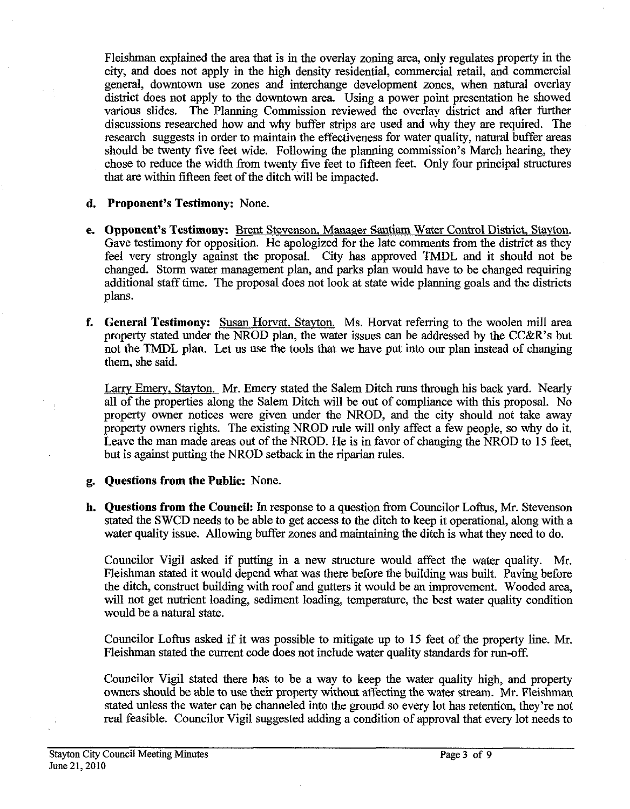Fleishman explained the area that is in the overlay zoning area, only regulates property in the city, and does not apply in the high density residential, commercial retail, and commercial general, downtown use zones and interchange development zones, when natural overlay district does not apply to the downtown area. Using a power point presentation he showed various slides. The Planning Commission reviewed the overlav district and after further The Planning Commission reviewed the overlay district and after further discussions researched how and why buffer strips are used and why they are required. The research suggests in order to maintain the effectiveness for water quality, natural buffer areas should be twenty five feet wide. Following the planning commission's March hearing, they chose to reduce the width from twenty five feet to fifteen feet. Only four principal structures that are within fifteen feet of the ditch will be impacted.

### **d. Proponent's Testimony:** None.

- **e. Opponent's Testimony:** Brent Stevenson, Manager Santiam Water Control District. Stayton. Gave testimony for opposition. He apologized for the late comments fiom the district as they feel very strongly against the proposal. City has approved TMDL and it should not be changed. Storm water management plan, and parks plan would have to be changed requiring additional staff time. The proposal does not look at state wide planning goals and the districts plans.
- **f. General Testimony:** Susan Horvat, Stavton. Ms. Horvat referring to the woolen mill area property stated under the NROD plan, the water issues can be addressed by the CC&R's but not the TMDL plan. Let us use the tools that we have put into our plan instead of changing them, she said.

Larrv Emery. Stavton. Mr. Emery stated the Salem Ditch **runs** through his back yard. Nearly all of the properties along the Salem Ditch will be out of compliance with this proposal. No property owner notices were given under the NROD, and the city should not take away property owners rights. The existing NROD rule will only affect a few people, so why do it. Leave the man made areas out of the NROD. He is in favor of changing the NROD to 15 feet, but is against putting the NROD setback in the riparian rules.

### **g. Questions from the Public:** None.

**h. Questions from the Council: In** response to a question fiom Councilor Loftus, Mr. Stevenson stated the SWCD needs to be able to get access to the ditch to keep it operational, along with a water quality issue. Allowing buffer zones and maintaining the ditch is what they need to do.

Councilor Vigil asked if putting in a new structure would affect the water quality. Mr. Fleishman stated it would depend what was there before the building was built. Paving before the ditch, construct building with roof and gutters it would be an improvement. Wooded area, will not get nutrient loading, sediment loading, temperature, the best water quality condition would be a natural state.

Councilor Loftus asked if it was possible to mitigate up to 15 feet of the property line. Mr. Fleishman stated the current code does not include water quality standards for run-off.

Councilor Vigil stated there has to be a way to keep the water quality high, and property owners should be able to use their property without affecting the water stream. Mr. Fleishman stated unless the water can be channeled into the ground so every lot has retention, they're not real feasible. Councilor Vigil suggested adding a condition of approval that every lot needs to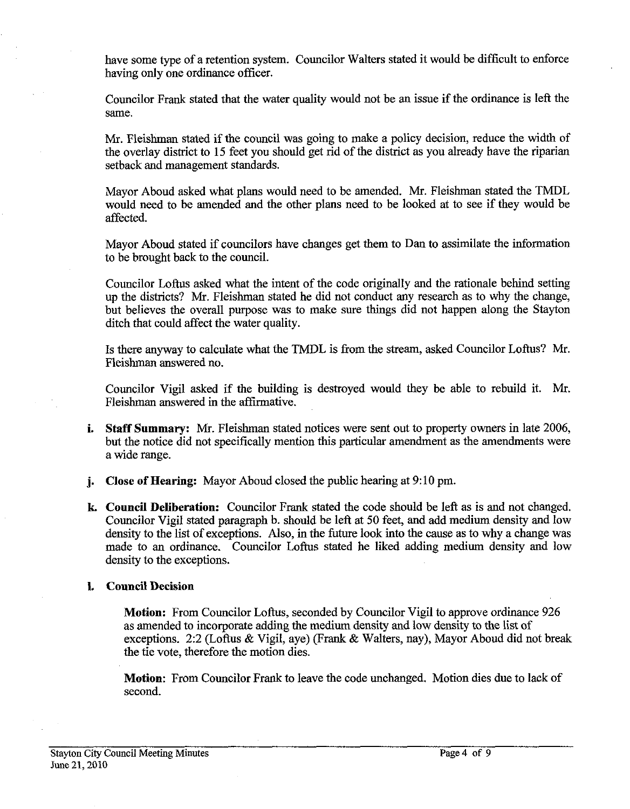have some type of a retention system. Councilor Walters stated it would be difficult to enforce having only one ordinance officer.

Councilor Frank stated that the water quality would not be an issue if the ordinance is left the same.

Mr. Fleishman stated if the council was going to make a policy decision, reduce the width of the overlay district to 15 feet you should get rid of the district as you already have the riparian setback and management standards.

Mayor Aboud asked what plans would need to be amended. Mr. Fleishman stated the TMDL would need to be amended and the other plans need to be looked at to see if they would be affected.

Mayor Aboud stated if councilors have changes get them to Dan to assimilate the information to be brought back to the council.

Councilor Loftus asked what the intent of the code originally and the rationale behind setting up the districts? Mr. Fleishman stated he did not conduct any research as to why the change, but believes the overall purpose was to make sure things did not happen along the Stayton ditch that could affect the water quality.

Is there anyway to calculate what the TMDL is from the stream, asked Councilor Loftus? Mr. Fleishman answered no.

Councilor Vigil asked if the building is destroyed would they be able to rebuild it. Mr. Fleishman answered in the affirmative.

- **i.** Staff Summary: Mr. Fleishman stated notices were sent out to property owners in late 2006, but the notice did not specifically mention this particular amendment as the amendments were a wide range.
- **j. Close of Hearing:** Mayor Aboud closed the public hearing at 9:10 pm.
- **k. Council Deliberation:** Councilor Frank stated the code should be left as is and not changed. Councilor Vigil stated paragraph b. should be left at 50 feet, and add medium density and low density to the list of exceptions. Also, in the future look into the cause as to why a change was made to an ordinance. Councilor Loftus stated he liked adding medium density and low density to the exceptions.

### **1. Council Decision**

**Motion:** From Councilor Loftus, seconded by Councilor Vigil to approve ordinance 926 as amended to incorporate adding the medium density and low density to the list of exceptions. 2:2 (Loftus & Vigil, aye) (Frank & Walters, nay), Mayor Aboud did not break the tie vote, therefore the motion dies.

**Motion:** From Councilor Frank to leave the code unchanged. Motion dies due to lack of second.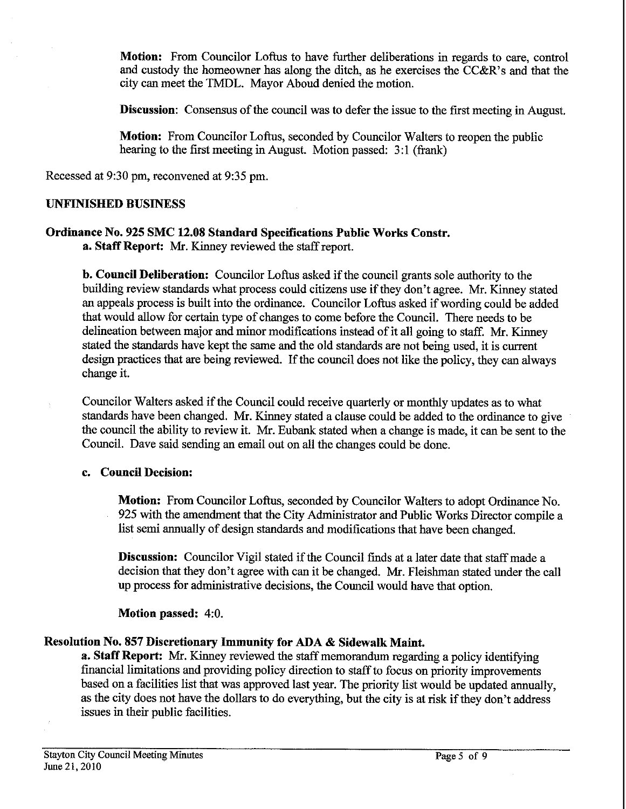**Motion:** From Councilor Loftus to have further deliberations in regards to care, control and custody the homeowner has along the ditch, **as** he exercises the CC&R's and that the city can meet the TMDL. Mayor Aboud denied the motion.

Discussion: Consensus of the council was to defer the issue to the first meeting in August.

**Motion:** From Councilor Loftus, seconded by Councilor Walters to reopen the public hearing to the first meeting in August. Motion passed: **3:** 1 (frank)

Recessed at **9:30** pm, reconvened at **9:35** pm.

### **UNFINISHED BUSINESS**

#### **Ordinance No. 925 SMC 12.08 Standard Specifications Public Works Constr. a. Staff Report: Mr.** Kinney reviewed the staff report.

**b. Council Deliberation:** Councilor Loftus asked if the council grants sole authority to the building review standards what process could citizens use if they don't agree. Mr. Kinney stated an appeals process is built into the ordinance. Councilor Loftus asked if wording could be added that would allow for certain type of changes to come before the Council. There needs to be delineation between major and minor modifications instead of it all going to staff. Mr. Kinney stated the standards have kept the same and the old standards are not being used, it is current design practices that are being reviewed. If the council does not like the policy, they can always change it.

Councilor Walters asked if the Council could receive quarterly or monthly updates as to what standards have been changed. Mr. Kinney stated a clause could be added to the ordinance to give the council the ability to review it. Mr. Eubank stated when a change is made, it can be sent to the Council. Dave said sending an email out on all the changes could be done.

## **c. Council Decision:**

**Motion:** From Councilor Loftus, seconded by Councilor Walters to adopt Ordinance No. **925** with the amendment that the City Administrator and Public Works Director compile a list semi annually of design standards and modifications that have been changed.

**Discussion:** Councilor Vigil stated if the Council finds at a later date that staff made a decision that they don't agree with can it be changed. Mr. Fleishman stated under the call up process for administrative decisions, the Council would have that option.

### **Motion passed: 4:O.**

### **Resolution No. 857 Discretionary Immunity for ADA** & **Sidewalk Maint.**

**a. Staff Report: Mr.** Kinney reviewed the staff memorandum regarding a policy identifying financial limitations and providing policy direction to staff to focus on priority improvements based on a facilities list that was approved last year. The priority list would be updated annually, **as** the city does not have the dollars to do everything, but the city is at risk if they don't address issues in their public facilities.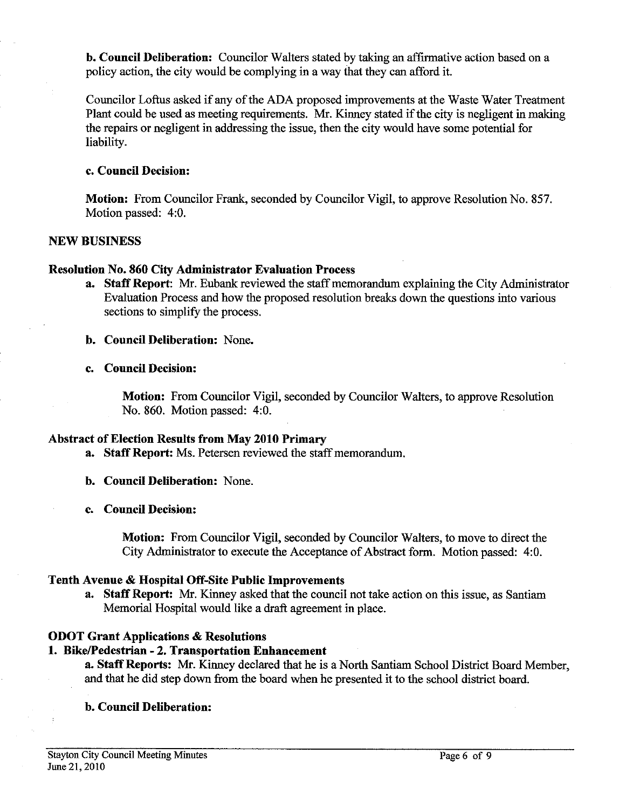**b. Council Deliberation:** Councilor Walters stated by taking an affirmative action based on a policy action, the city would be complying in a way that they can afford it.

Councilor Loftus asked if any of the ADA proposed improvements at the Waste Water Treatment Plant could be used as meeting requirements. Mr. Kinney stated if the city is negligent in making the repairs or negligent in addressing the issue, then the city would have some potential for liability.

### **c. Council Decision:**

**Motion:** From Councilor Frank, seconded by Councilor Vigil, to approve Resolution No. 857. Motion passed: 4:O.

### **NEW BUSINESS**

# **Resolution No. 860 City Administrator Evaluation Process**

**a. Staff Report: Mr.** Eubank reviewed the staff memorandum explaining the City Administrator Evaluation Process and how the proposed resolution breaks down the questions into various sections to simplify the process.

## **b. Council Deliberation:** None.

**c. Council Decision:** 

**Motion:** From Councilor Vigil, seconded by Councilor Walters, to approve Resolution No. 860. Motion passed: **4:O.** 

### **Abstract of Election Results from May 2010 Primary**

- **a. Staff Report:** Ms. Petersen reviewed the staff memorandum.
- **b. Council Deliberation:** None.
- **c. Council Decision:**

**Motion:** From Councilor Vigil, seconded by Councilor Walters, to move to direct the City Administrator to execute the Acceptance of Abstract form. Motion passed: 4:O.

# **Tenth Avenue** & **Hospital Off-Site Public Improvements**

**a. Staff Report: Mr.** Kinney asked that the council not take action on this issue, as Santiam Memorial Hospital would like a draft agreement in place.

# **ODOT Grant Applications** & **Resolutions**

### **1. BikePedestrian** - **2. Transportation Enhancement**

**a. Staff Reports: Mr.** Kinney declared that he is a Nortb Santiam School District Board Member, and that he did step down from the board when he presented it to the school district board.

# **b. Council Deliberation:**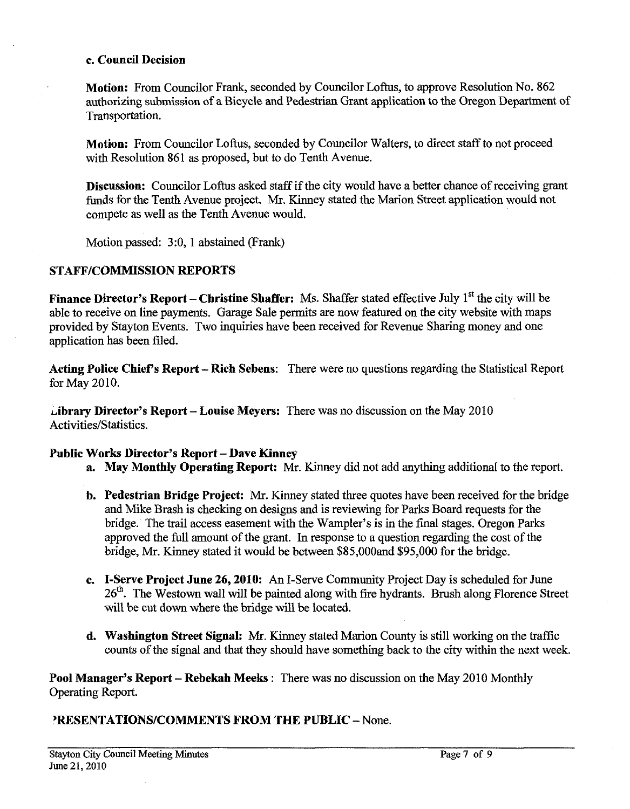#### **c. Council Decision**

**Motion:** From Councilor Frank, seconded by Councilor Loftus, to approve Resolution No. 862 authorizing submission of a Bicycle and Pedestrian Grant application to the Oregon Department of Transportation.

**Motion:** From Councilor Loftus, seconded by Councilor Walters, to direct staff to not proceed with Resolution 861 as proposed, but to do Tenth Avenue.

**Discussion:** Councilor Loftus asked staff if the city would have a better chance of receiving grant funds for the Tenth Avenue project. Mr. Kinney stated the Marion Street application would not compete as well as the Tenth Avenue would.

Motion passed: 3:0, 1 abstained (Frank)

## **STAFFICOMMISSION REPORTS**

**Finance Director's Report – Christine Shaffer:** Ms. Shaffer stated effective July 1<sup>st</sup> the city will be able to receive on line payments. Garage Sale permits are now featured on the city website with maps provided by Stayton Events. Two inquiries have been received for Revenue Sharing money and one application has been filed.

**Acting Police Chiefs Report** - **Rich Sebens:** There were no questions regarding the Statistical Report for May 2010.

**~ibrary Director's Report** - **Louise Meyers:** There was no discussion on the May 2010 Activities/Statistics.

### Public Works Director's Report - Dave Kinney

- **a. May Monthly Operating Report: Mr.** Kinney did not add anything additional to the report.
- **b. Pedestrian Bridge Project: Mr.** Kinney stated three quotes have been received for the bridge and Mike Brash is checking on designs and is reviewing for Parks Board requests for the bridge. The trail access easement with the Wampler's is in the final stages. Oregon Parks approved the full amount of the grant. In response to a question regarding the cost of the bridge, Mr. Kinney stated it would be between \$85,00Oand \$95,000 for the bridge.
- **c. I-Sewe Project June 26,2010: An** I-Serve Community Project Day is scheduled for June 26<sup>th</sup>. The Westown wall will be painted along with fire hydrants. Brush along Florence Street will be cut down where the bridge will be located.
- **d. Washington Street Signal:** Mr. Kinney stated Marion County is still working on the traffic counts of the signal and that they should have something back to the city within the next week.

**Pool Manager's Report** - **Rebekah Meeks** : There was no discussion on the May 2010 Monthly Operating Report.

# **'RESENTATIONSICOMMENTS FROM THE PUBLIC** -None.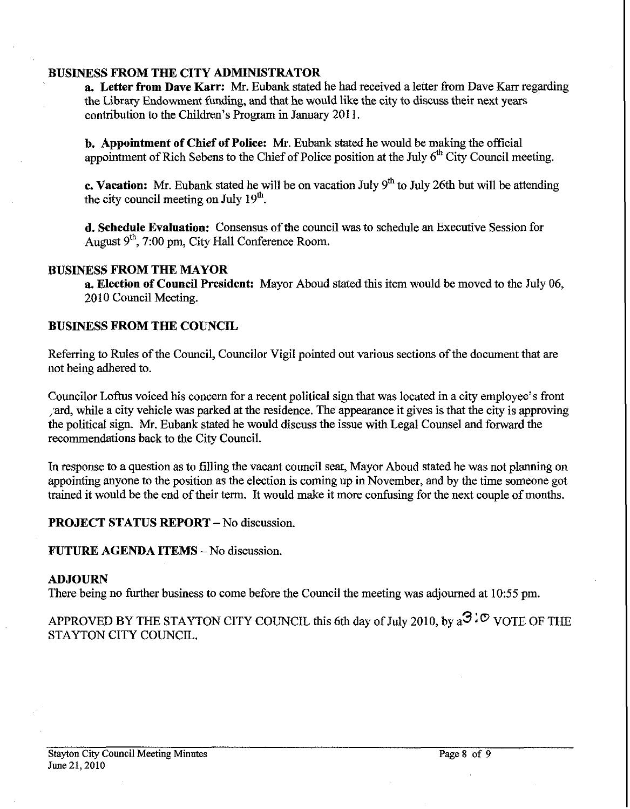### **BUSINESS FROM THE CITY ADMINISTRATOR**

**a. Letter from Dave Karr: Mr.** Eubank stated he had received a letter from Dave Karr regarding the Library Endowment funding, and that he would like the city to discuss their next years contribution to the Children's Program in January 201 1.

**b.** Appointment of Chief of Police: Mr. Eubank stated he would be making the official appointment of Rich Sebens to the Chief of Police position at the July 6<sup>th</sup> City Council meeting.

**c. Vacation:** Mr. Eubank stated he will be on vacation July 9<sup>th</sup> to July 26th but will be attending the city council meeting on July  $19<sup>th</sup>$ .

**d. Schedule Evaluation:** Consensus of the council was to schedule an Executive Session for August 9", 7:00 pm, City Hall Conference Room.

### **BUSINESS FROM THE MAYOR**

**a. Election of Council President:** Mayor Aboud stated this item would be moved to the July 06, 2010 Council Meeting.

### **BUSINESS FROM THE COUNCIL**

Referring to Rules of the Council, Councilor Vigil pointed out various sections of the document that are not being adhered to.

Councilor Loftus voiced his concern for a recent political sign that was located in a city employee's front ard, while a city vehicle was parked at the residence. The appearance it gives is that the city is approving the political sign. Mr. Eubank stated he would discuss the issue with Legal Counsel and forward the recommendations back to the City Council.

In response to a question as to filling the vacant council seat, Mayor Aboud stated he was not planning on appointing anyone to the position as the election is coming up in November, and by the time someone got trained it would be the end of their term. It would make it more confusing for the next couple of months.

### **PROJECT STATUS REPORT - No discussion.**

#### **FUTURE AGENDA ITEMS - No discussion.**

#### **ADJOURN**

There being no further business to come before the Council the meeting was adjourned at 10:55 pm.

APPROVED BY THE STAYTON CITY COUNCIL this 6th day of July 2010, by  $a^3$ <sup>2</sup> VOTE OF THE STAYTON CITY COUNCIL.